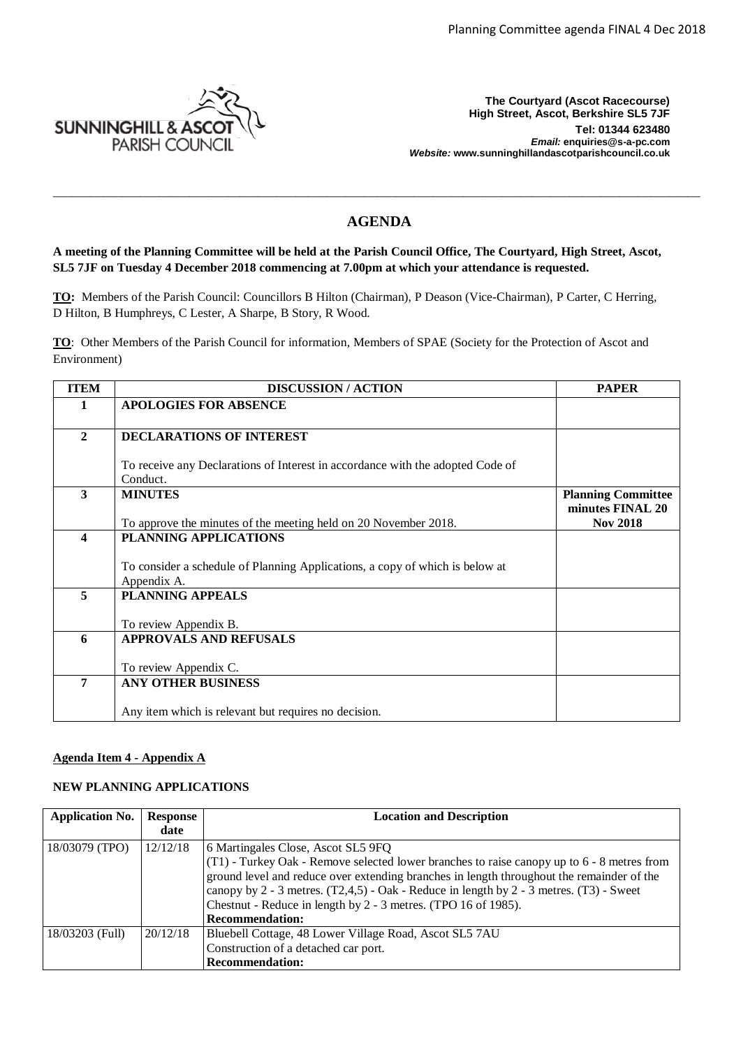

**The Courtyard (Ascot Racecourse) High Street, Ascot, Berkshire SL5 7JF Tel: 01344 623480**  *Email:* **enquiries@s-a-pc.com** *Website:* **www.sunninghillandascotparishcouncil.co.uk**

# **AGENDA**

\_\_\_\_\_\_\_\_\_\_\_\_\_\_\_\_\_\_\_\_\_\_\_\_\_\_\_\_\_\_\_\_\_\_\_\_\_\_\_\_\_\_\_\_\_\_\_\_\_\_\_\_\_\_\_\_\_\_\_\_\_\_\_\_\_\_\_\_\_\_\_\_\_\_\_\_\_\_\_\_\_\_\_\_\_\_\_\_\_\_\_\_\_\_\_\_\_\_\_\_\_\_\_\_

# **A meeting of the Planning Committee will be held at the Parish Council Office, The Courtyard, High Street, Ascot, SL5 7JF on Tuesday 4 December 2018 commencing at 7.00pm at which your attendance is requested.**

**TO:** Members of the Parish Council: Councillors B Hilton (Chairman), P Deason (Vice-Chairman), P Carter, C Herring, D Hilton, B Humphreys, C Lester, A Sharpe, B Story, R Wood.

**TO**: Other Members of the Parish Council for information, Members of SPAE (Society for the Protection of Ascot and Environment)

| <b>ITEM</b>      | <b>DISCUSSION/ACTION</b>                                                       | <b>PAPER</b>                                  |
|------------------|--------------------------------------------------------------------------------|-----------------------------------------------|
| 1                | <b>APOLOGIES FOR ABSENCE</b>                                                   |                                               |
|                  |                                                                                |                                               |
| $\mathbf{2}$     | <b>DECLARATIONS OF INTEREST</b>                                                |                                               |
|                  |                                                                                |                                               |
|                  | To receive any Declarations of Interest in accordance with the adopted Code of |                                               |
| 3                | Conduct.<br><b>MINUTES</b>                                                     |                                               |
|                  |                                                                                | <b>Planning Committee</b><br>minutes FINAL 20 |
|                  | To approve the minutes of the meeting held on 20 November 2018.                | <b>Nov 2018</b>                               |
| $\boldsymbol{4}$ | PLANNING APPLICATIONS                                                          |                                               |
|                  |                                                                                |                                               |
|                  | To consider a schedule of Planning Applications, a copy of which is below at   |                                               |
|                  | Appendix A.                                                                    |                                               |
| 5                | <b>PLANNING APPEALS</b>                                                        |                                               |
|                  |                                                                                |                                               |
|                  | To review Appendix B.                                                          |                                               |
| 6                | <b>APPROVALS AND REFUSALS</b>                                                  |                                               |
|                  | To review Appendix C.                                                          |                                               |
| 7                | <b>ANY OTHER BUSINESS</b>                                                      |                                               |
|                  |                                                                                |                                               |
|                  | Any item which is relevant but requires no decision.                           |                                               |

## **Agenda Item 4 - Appendix A**

## **NEW PLANNING APPLICATIONS**

| <b>Application No.</b> | <b>Response</b> | <b>Location and Description</b>                                                             |
|------------------------|-----------------|---------------------------------------------------------------------------------------------|
|                        | date            |                                                                                             |
| 18/03079 (TPO)         | 12/12/18        | 6 Martingales Close, Ascot SL5 9FQ                                                          |
|                        |                 | (T1) - Turkey Oak - Remove selected lower branches to raise can opy up to 6 - 8 metres from |
|                        |                 | ground level and reduce over extending branches in length throughout the remainder of the   |
|                        |                 | canopy by $2 - 3$ metres. (T2,4,5) - Oak - Reduce in length by $2 - 3$ metres. (T3) - Sweet |
|                        |                 | Chestnut - Reduce in length by 2 - 3 metres. (TPO 16 of 1985).                              |
|                        |                 | <b>Recommendation:</b>                                                                      |
| 18/03203 (Full)        | 20/12/18        | Bluebell Cottage, 48 Lower Village Road, Ascot SL5 7AU                                      |
|                        |                 | Construction of a detached car port.                                                        |
|                        |                 | <b>Recommendation:</b>                                                                      |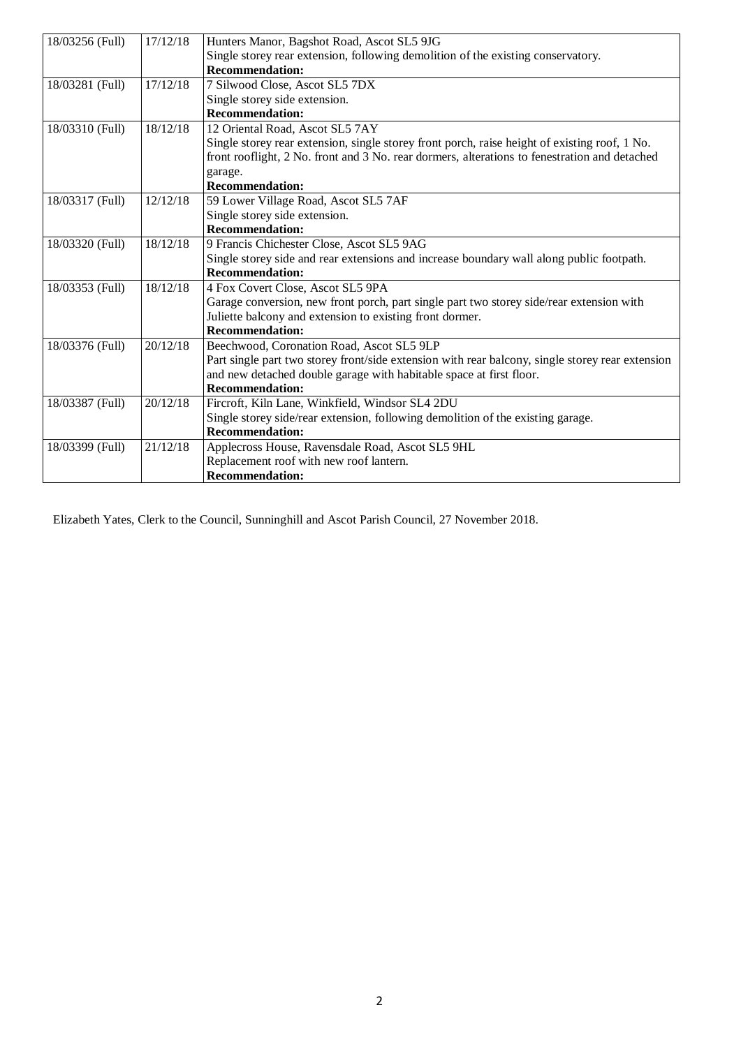| 18/03256 (Full) | 17/12/18 | Hunters Manor, Bagshot Road, Ascot SL5 9JG                                                       |
|-----------------|----------|--------------------------------------------------------------------------------------------------|
|                 |          | Single storey rear extension, following demolition of the existing conservatory.                 |
|                 |          | <b>Recommendation:</b>                                                                           |
| 18/03281 (Full) | 17/12/18 | 7 Silwood Close, Ascot SL5 7DX                                                                   |
|                 |          | Single storey side extension.                                                                    |
|                 |          | <b>Recommendation:</b>                                                                           |
| 18/03310 (Full) | 18/12/18 | 12 Oriental Road, Ascot SL5 7AY                                                                  |
|                 |          | Single storey rear extension, single storey front porch, raise height of existing roof, 1 No.    |
|                 |          | front rooflight, 2 No. front and 3 No. rear dormers, alterations to fenestration and detached    |
|                 |          | garage.                                                                                          |
|                 |          | <b>Recommendation:</b>                                                                           |
| 18/03317 (Full) | 12/12/18 | 59 Lower Village Road, Ascot SL5 7AF                                                             |
|                 |          | Single storey side extension.                                                                    |
|                 |          | <b>Recommendation:</b>                                                                           |
| 18/03320 (Full) | 18/12/18 | 9 Francis Chichester Close, Ascot SL5 9AG                                                        |
|                 |          | Single storey side and rear extensions and increase boundary wall along public footpath.         |
|                 |          | <b>Recommendation:</b>                                                                           |
| 18/03353 (Full) | 18/12/18 | 4 Fox Covert Close, Ascot SL5 9PA                                                                |
|                 |          | Garage conversion, new front porch, part single part two storey side/rear extension with         |
|                 |          | Juliette balcony and extension to existing front dormer.                                         |
|                 |          | <b>Recommendation:</b>                                                                           |
| 18/03376 (Full) | 20/12/18 | Beechwood, Coronation Road, Ascot SL5 9LP                                                        |
|                 |          | Part single part two storey front/side extension with rear balcony, single storey rear extension |
|                 |          | and new detached double garage with habitable space at first floor.                              |
|                 |          | <b>Recommendation:</b>                                                                           |
| 18/03387 (Full) | 20/12/18 | Fircroft, Kiln Lane, Winkfield, Windsor SL4 2DU                                                  |
|                 |          | Single storey side/rear extension, following demolition of the existing garage.                  |
|                 |          | <b>Recommendation:</b>                                                                           |
| 18/03399 (Full) | 21/12/18 | Applecross House, Ravensdale Road, Ascot SL5 9HL                                                 |
|                 |          | Replacement roof with new roof lantern.                                                          |
|                 |          | <b>Recommendation:</b>                                                                           |

Elizabeth Yates, Clerk to the Council, Sunninghill and Ascot Parish Council, 27 November 2018.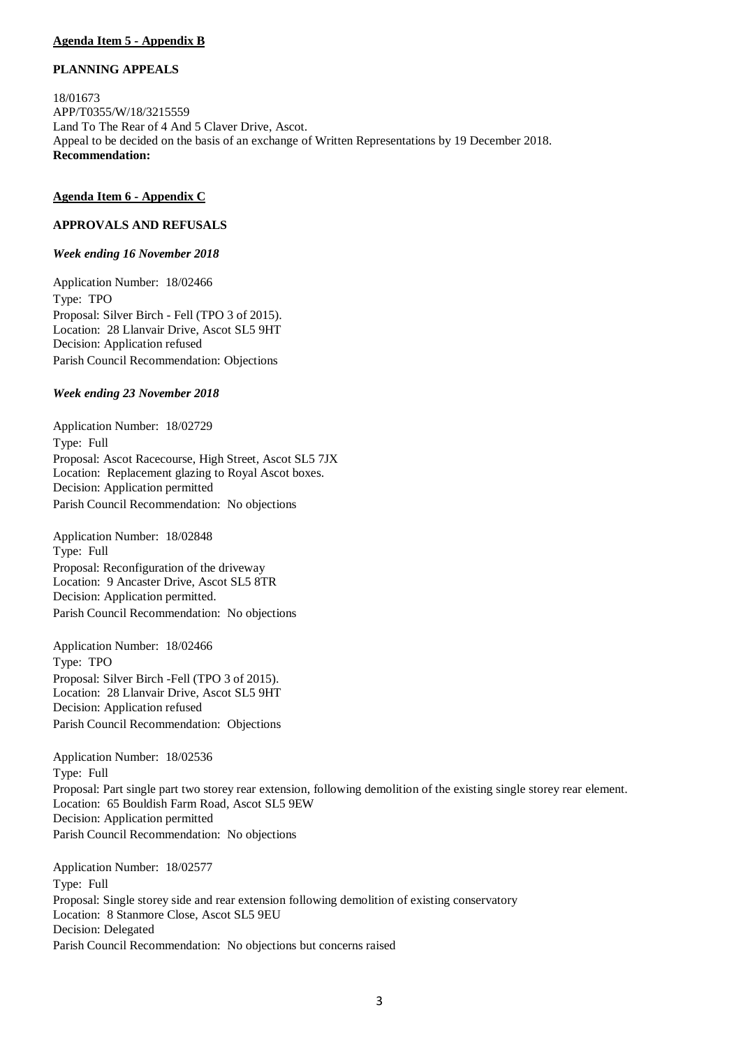# **Agenda Item 5 - Appendix B**

## **PLANNING APPEALS**

18/01673 APP/T0355/W/18/3215559 Land To The Rear of 4 And 5 Claver Drive, Ascot. Appeal to be decided on the basis of an exchange of Written Representations by 19 December 2018. **Recommendation:** 

#### **Agenda Item 6 - Appendix C**

## **APPROVALS AND REFUSALS**

#### *Week ending 16 November 2018*

Application Number: 18/02466 Type: TPO Proposal: Silver Birch - Fell (TPO 3 of 2015). Location: 28 Llanvair Drive, Ascot SL5 9HT Decision: Application refused Parish Council Recommendation: Objections

#### *Week ending 23 November 2018*

Application Number: 18/02729 Type: Full Proposal: Ascot Racecourse, High Street, Ascot SL5 7JX Location: Replacement glazing to Royal Ascot boxes. Decision: Application permitted Parish Council Recommendation: No objections

Application Number: 18/02848 Type: Full Proposal: Reconfiguration of the driveway Location: 9 Ancaster Drive, Ascot SL5 8TR Decision: Application permitted. Parish Council Recommendation: No objections

Application Number: 18/02466 Type: TPO Proposal: Silver Birch -Fell (TPO 3 of 2015). Location: 28 Llanvair Drive, Ascot SL5 9HT Decision: Application refused Parish Council Recommendation: Objections

Application Number: 18/02536 Type: Full Proposal: Part single part two storey rear extension, following demolition of the existing single storey rear element. Location: 65 Bouldish Farm Road, Ascot SL5 9EW Decision: Application permitted Parish Council Recommendation: No objections

Application Number: 18/02577 Type: Full Proposal: Single storey side and rear extension following demolition of existing conservatory Location: 8 Stanmore Close, Ascot SL5 9EU Decision: Delegated Parish Council Recommendation: No objections but concerns raised